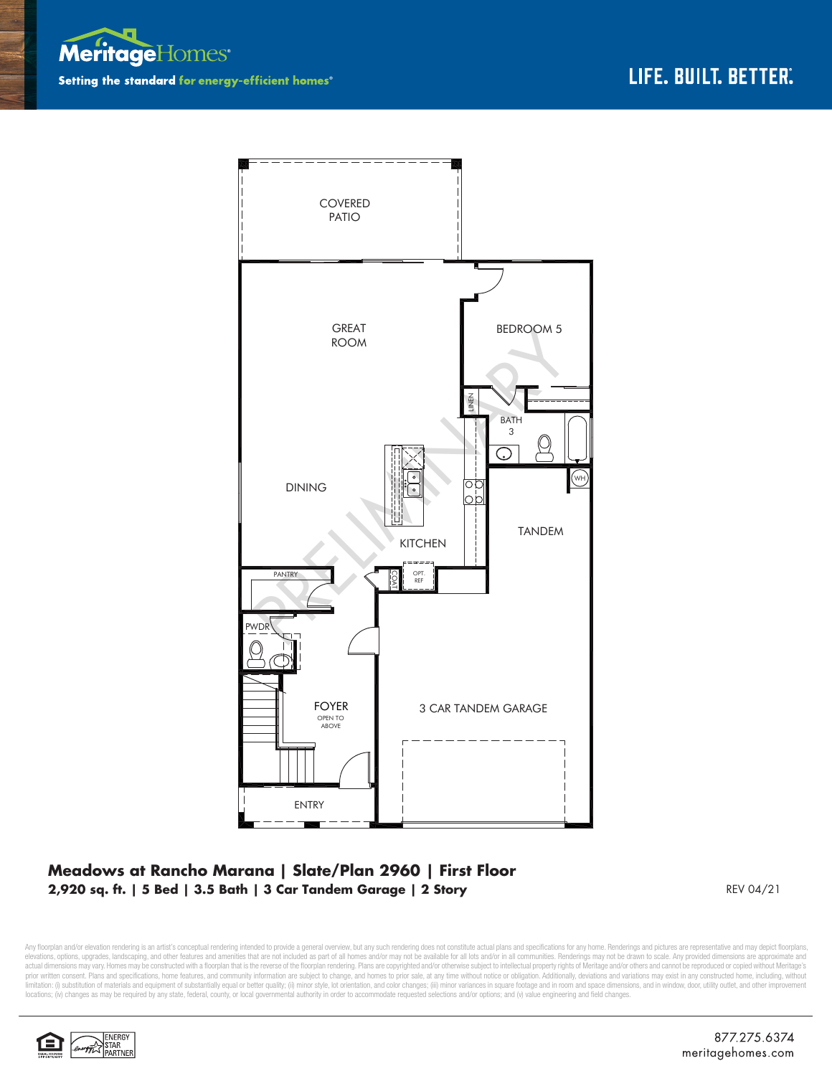



## **Meadows at Rancho Marana | Slate/Plan 2960 | First Floor 2,920 sq. ft. | 5 Bed | 3.5 Bath | 3 Car Tandem Garage | 2 Story**

REV 04/21

Any floorplan and/or elevation rendering is an artist's conceptual rendering intended to provide a general overview, but any such rendering does not constitute actual plans and specifications for any home. Renderings and p elevations, options, upgrades, landscaping, and other features and amenities that are not included as part of all homes and/or may not be available for all lots and/or in all communities. Renderings may not be drawn to sca limitation: (i) substitution of materials and equipment of substantially equal or better quality; (ii) minor style, lot orientation, and color changes; (iii) minor variances in square footage and in room and space dimensio locations; (iv) changes as may be required by any state, federal, county, or local governmental authority in order to accommodate requested selections and/or options; and (v) value engineering and field changes.